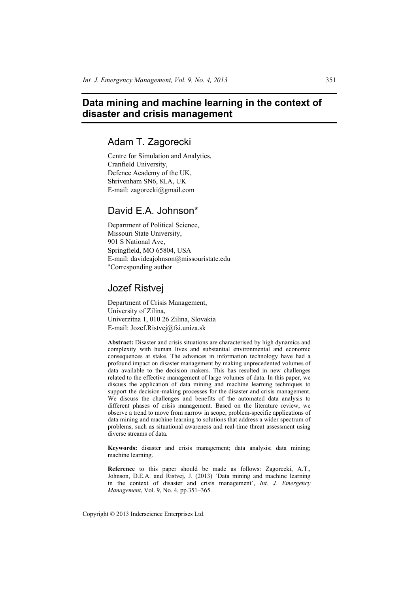# **Data mining and machine learning in the context of disaster and crisis management**

Adam T. Zagorecki

Centre for Simulation and Analytics, Cranfield University, Defence Academy of the UK, Shrivenham SN6, 8LA, UK E-mail: zagorecki@gmail.com

## David E.A. Johnson\*

Department of Political Science, Missouri State University, 901 S National Ave, Springfield, MO 65804, USA E-mail: davideajohnson@missouristate.edu \*Corresponding author

## Jozef Ristvej

Department of Crisis Management, University of Zilina, Univerzitna 1, 010 26 Zilina, Slovakia E-mail: Jozef.Ristvej@fsi.uniza.sk

**Abstract:** Disaster and crisis situations are characterised by high dynamics and complexity with human lives and substantial environmental and economic consequences at stake. The advances in information technology have had a profound impact on disaster management by making unprecedented volumes of data available to the decision makers. This has resulted in new challenges related to the effective management of large volumes of data. In this paper, we discuss the application of data mining and machine learning techniques to support the decision-making processes for the disaster and crisis management. We discuss the challenges and benefits of the automated data analysis to different phases of crisis management. Based on the literature review, we observe a trend to move from narrow in scope, problem-specific applications of data mining and machine learning to solutions that address a wider spectrum of problems, such as situational awareness and real-time threat assessment using diverse streams of data.

**Keywords:** disaster and crisis management; data analysis; data mining; machine learning.

**Reference** to this paper should be made as follows: Zagorecki, A.T., Johnson, D.E.A. and Ristvej, J. (2013) 'Data mining and machine learning in the context of disaster and crisis management', *Int. J. Emergency Management*, Vol. 9, No. 4, pp.351–365.

Copyright © 2013 Inderscience Enterprises Ltd.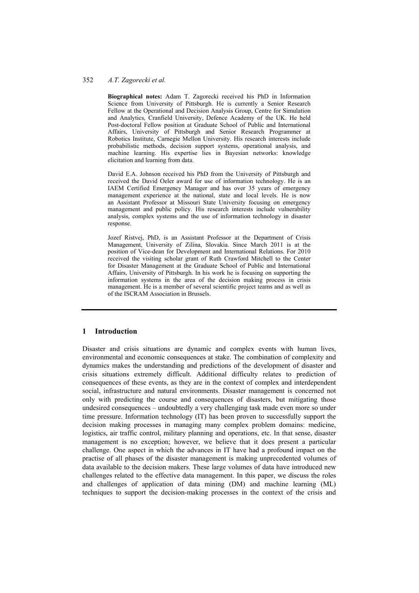**Biographical notes:** Adam T. Zagorecki received his PhD in Information Science from University of Pittsburgh. He is currently a Senior Research Fellow at the Operational and Decision Analysis Group, Centre for Simulation and Analytics, Cranfield University, Defence Academy of the UK. He held Post-doctoral Fellow position at Graduate School of Public and International Affairs, University of Pittsburgh and Senior Research Programmer at Robotics Institute, Carnegie Mellon University. His research interests include probabilistic methods, decision support systems, operational analysis, and machine learning. His expertise lies in Bayesian networks: knowledge elicitation and learning from data.

David E.A. Johnson received his PhD from the University of Pittsburgh and received the David Oeler award for use of information technology. He is an IAEM Certified Emergency Manager and has over 35 years of emergency management experience at the national, state and local levels. He is now an Assistant Professor at Missouri State University focusing on emergency management and public policy. His research interests include vulnerability analysis, complex systems and the use of information technology in disaster response.

Jozef Ristvej, PhD, is an Assistant Professor at the Department of Crisis Management, University of Zilina, Slovakia. Since March 2011 is at the position of Vice-dean for Development and International Relations. For 2010 received the visiting scholar grant of Ruth Crawford Mitchell to the Center for Disaster Management at the Graduate School of Public and International Affairs, University of Pittsburgh. In his work he is focusing on supporting the information systems in the area of the decision making process in crisis management. He is a member of several scientific project teams and as well as of the ISCRAM Association in Brussels.

#### **1 Introduction**

Disaster and crisis situations are dynamic and complex events with human lives, environmental and economic consequences at stake. The combination of complexity and dynamics makes the understanding and predictions of the development of disaster and crisis situations extremely difficult. Additional difficulty relates to prediction of consequences of these events, as they are in the context of complex and interdependent social, infrastructure and natural environments. Disaster management is concerned not only with predicting the course and consequences of disasters, but mitigating those undesired consequences – undoubtedly a very challenging task made even more so under time pressure. Information technology (IT) has been proven to successfully support the decision making processes in managing many complex problem domains: medicine, logistics, air traffic control, military planning and operations, etc. In that sense, disaster management is no exception; however, we believe that it does present a particular challenge. One aspect in which the advances in IT have had a profound impact on the practise of all phases of the disaster management is making unprecedented volumes of data available to the decision makers. These large volumes of data have introduced new challenges related to the effective data management. In this paper, we discuss the roles and challenges of application of data mining (DM) and machine learning (ML) techniques to support the decision-making processes in the context of the crisis and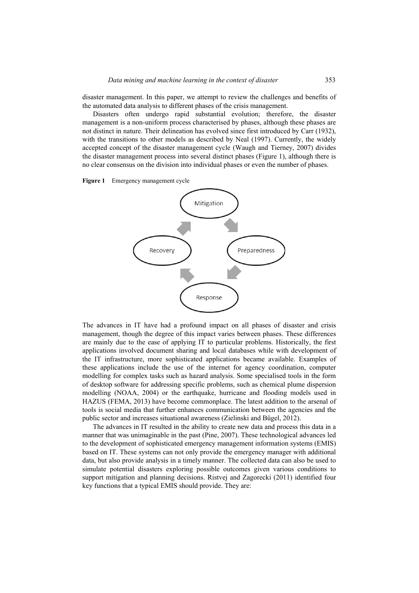disaster management. In this paper, we attempt to review the challenges and benefits of the automated data analysis to different phases of the crisis management.

Disasters often undergo rapid substantial evolution; therefore, the disaster management is a non-uniform process characterised by phases, although these phases are not distinct in nature. Their delineation has evolved since first introduced by Carr (1932), with the transitions to other models as described by Neal (1997). Currently, the widely accepted concept of the disaster management cycle (Waugh and Tierney, 2007) divides the disaster management process into several distinct phases (Figure 1), although there is no clear consensus on the division into individual phases or even the number of phases.





The advances in IT have had a profound impact on all phases of disaster and crisis management, though the degree of this impact varies between phases. These differences are mainly due to the ease of applying IT to particular problems. Historically, the first applications involved document sharing and local databases while with development of the IT infrastructure, more sophisticated applications became available. Examples of these applications include the use of the internet for agency coordination, computer modelling for complex tasks such as hazard analysis. Some specialised tools in the form of desktop software for addressing specific problems, such as chemical plume dispersion modelling (NOAA, 2004) or the earthquake, hurricane and flooding models used in HAZUS (FEMA, 2013) have become commonplace. The latest addition to the arsenal of tools is social media that further enhances communication between the agencies and the public sector and increases situational awareness (Zielinski and Bügel, 2012).

The advances in IT resulted in the ability to create new data and process this data in a manner that was unimaginable in the past (Pine, 2007). These technological advances led to the development of sophisticated emergency management information systems (EMIS) based on IT. These systems can not only provide the emergency manager with additional data, but also provide analysis in a timely manner. The collected data can also be used to simulate potential disasters exploring possible outcomes given various conditions to support mitigation and planning decisions. Ristvej and Zagorecki (2011) identified four key functions that a typical EMIS should provide. They are: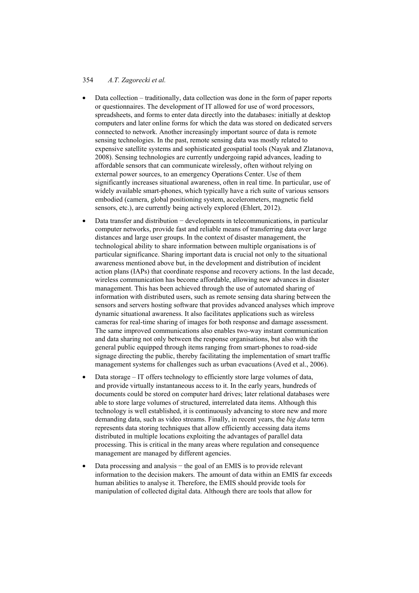- Data collection traditionally, data collection was done in the form of paper reports or questionnaires. The development of IT allowed for use of word processors, spreadsheets, and forms to enter data directly into the databases: initially at desktop computers and later online forms for which the data was stored on dedicated servers connected to network. Another increasingly important source of data is remote sensing technologies. In the past, remote sensing data was mostly related to expensive satellite systems and sophisticated geospatial tools (Nayak and Zlatanova, 2008). Sensing technologies are currently undergoing rapid advances, leading to affordable sensors that can communicate wirelessly, often without relying on external power sources, to an emergency Operations Center. Use of them significantly increases situational awareness, often in real time. In particular, use of widely available smart-phones, which typically have a rich suite of various sensors embodied (camera, global positioning system, accelerometers, magnetic field sensors, etc.), are currently being actively explored (Ehlert, 2012).
- Data transfer and distribution − developments in telecommunications, in particular computer networks, provide fast and reliable means of transferring data over large distances and large user groups. In the context of disaster management, the technological ability to share information between multiple organisations is of particular significance. Sharing important data is crucial not only to the situational awareness mentioned above but, in the development and distribution of incident action plans (IAPs) that coordinate response and recovery actions. In the last decade, wireless communication has become affordable, allowing new advances in disaster management. This has been achieved through the use of automated sharing of information with distributed users, such as remote sensing data sharing between the sensors and servers hosting software that provides advanced analyses which improve dynamic situational awareness. It also facilitates applications such as wireless cameras for real-time sharing of images for both response and damage assessment. The same improved communications also enables two-way instant communication and data sharing not only between the response organisations, but also with the general public equipped through items ranging from smart-phones to road-side signage directing the public, thereby facilitating the implementation of smart traffic management systems for challenges such as urban evacuations (Aved et al., 2006).
- Data storage IT offers technology to efficiently store large volumes of data, and provide virtually instantaneous access to it. In the early years, hundreds of documents could be stored on computer hard drives; later relational databases were able to store large volumes of structured, interrelated data items. Although this technology is well established, it is continuously advancing to store new and more demanding data, such as video streams. Finally, in recent years, the *big data* term represents data storing techniques that allow efficiently accessing data items distributed in multiple locations exploiting the advantages of parallel data processing. This is critical in the many areas where regulation and consequence management are managed by different agencies.
- Data processing and analysis the goal of an EMIS is to provide relevant information to the decision makers. The amount of data within an EMIS far exceeds human abilities to analyse it. Therefore, the EMIS should provide tools for manipulation of collected digital data. Although there are tools that allow for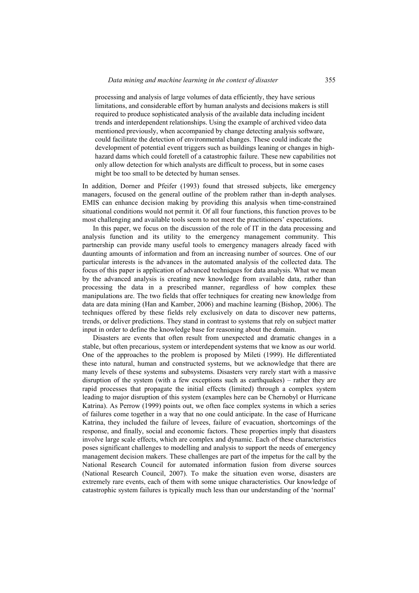processing and analysis of large volumes of data efficiently, they have serious limitations, and considerable effort by human analysts and decisions makers is still required to produce sophisticated analysis of the available data including incident trends and interdependent relationships. Using the example of archived video data mentioned previously, when accompanied by change detecting analysis software, could facilitate the detection of environmental changes. These could indicate the development of potential event triggers such as buildings leaning or changes in highhazard dams which could foretell of a catastrophic failure. These new capabilities not only allow detection for which analysts are difficult to process, but in some cases might be too small to be detected by human senses.

In addition, Dorner and Pfeifer (1993) found that stressed subjects, like emergency managers, focused on the general outline of the problem rather than in-depth analyses. EMIS can enhance decision making by providing this analysis when time-constrained situational conditions would not permit it. Of all four functions, this function proves to be most challenging and available tools seem to not meet the practitioners' expectations.

In this paper, we focus on the discussion of the role of IT in the data processing and analysis function and its utility to the emergency management community. This partnership can provide many useful tools to emergency managers already faced with daunting amounts of information and from an increasing number of sources. One of our particular interests is the advances in the automated analysis of the collected data. The focus of this paper is application of advanced techniques for data analysis. What we mean by the advanced analysis is creating new knowledge from available data, rather than processing the data in a prescribed manner, regardless of how complex these manipulations are. The two fields that offer techniques for creating new knowledge from data are data mining (Han and Kamber, 2006) and machine learning (Bishop, 2006). The techniques offered by these fields rely exclusively on data to discover new patterns, trends, or deliver predictions. They stand in contrast to systems that rely on subject matter input in order to define the knowledge base for reasoning about the domain.

Disasters are events that often result from unexpected and dramatic changes in a stable, but often precarious, system or interdependent systems that we know as our world. One of the approaches to the problem is proposed by Mileti (1999). He differentiated these into natural, human and constructed systems, but we acknowledge that there are many levels of these systems and subsystems. Disasters very rarely start with a massive disruption of the system (with a few exceptions such as earthquakes) – rather they are rapid processes that propagate the initial effects (limited) through a complex system leading to major disruption of this system (examples here can be Chernobyl or Hurricane Katrina). As Perrow (1999) points out, we often face complex systems in which a series of failures come together in a way that no one could anticipate. In the case of Hurricane Katrina, they included the failure of levees, failure of evacuation, shortcomings of the response, and finally, social and economic factors. These properties imply that disasters involve large scale effects, which are complex and dynamic. Each of these characteristics poses significant challenges to modelling and analysis to support the needs of emergency management decision makers. These challenges are part of the impetus for the call by the National Research Council for automated information fusion from diverse sources (National Research Council, 2007). To make the situation even worse, disasters are extremely rare events, each of them with some unique characteristics. Our knowledge of catastrophic system failures is typically much less than our understanding of the 'normal'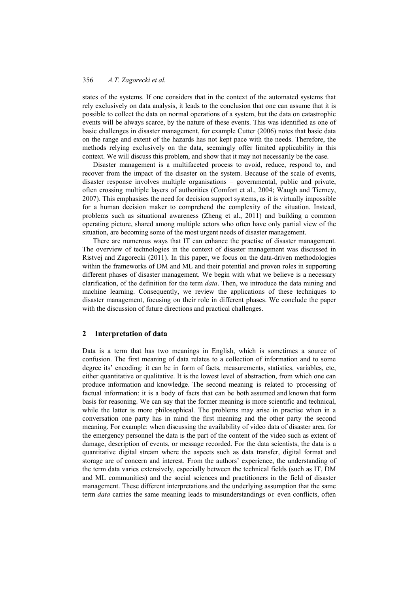states of the systems. If one considers that in the context of the automated systems that rely exclusively on data analysis, it leads to the conclusion that one can assume that it is possible to collect the data on normal operations of a system, but the data on catastrophic events will be always scarce, by the nature of these events. This was identified as one of basic challenges in disaster management, for example Cutter (2006) notes that basic data on the range and extent of the hazards has not kept pace with the needs. Therefore, the methods relying exclusively on the data, seemingly offer limited applicability in this context. We will discuss this problem, and show that it may not necessarily be the case.

Disaster management is a multifaceted process to avoid, reduce, respond to, and recover from the impact of the disaster on the system. Because of the scale of events, disaster response involves multiple organisations – governmental, public and private, often crossing multiple layers of authorities (Comfort et al., 2004; Waugh and Tierney, 2007). This emphasises the need for decision support systems, as it is virtually impossible for a human decision maker to comprehend the complexity of the situation. Instead, problems such as situational awareness (Zheng et al., 2011) and building a common operating picture, shared among multiple actors who often have only partial view of the situation, are becoming some of the most urgent needs of disaster management.

There are numerous ways that IT can enhance the practise of disaster management. The overview of technologies in the context of disaster management was discussed in Ristvej and Zagorecki (2011). In this paper, we focus on the data-driven methodologies within the frameworks of DM and ML and their potential and proven roles in supporting different phases of disaster management. We begin with what we believe is a necessary clarification, of the definition for the term *data*. Then, we introduce the data mining and machine learning. Consequently, we review the applications of these techniques to disaster management, focusing on their role in different phases. We conclude the paper with the discussion of future directions and practical challenges.

### **2 Interpretation of data**

Data is a term that has two meanings in English, which is sometimes a source of confusion. The first meaning of data relates to a collection of information and to some degree its' encoding: it can be in form of facts, measurements, statistics, variables, etc, either quantitative or qualitative. It is the lowest level of abstraction, from which one can produce information and knowledge. The second meaning is related to processing of factual information: it is a body of facts that can be both assumed and known that form basis for reasoning. We can say that the former meaning is more scientific and technical, while the latter is more philosophical. The problems may arise in practise when in a conversation one party has in mind the first meaning and the other party the second meaning. For example: when discussing the availability of video data of disaster area, for the emergency personnel the data is the part of the content of the video such as extent of damage, description of events, or message recorded. For the data scientists, the data is a quantitative digital stream where the aspects such as data transfer, digital format and storage are of concern and interest. From the authors' experience, the understanding of the term data varies extensively, especially between the technical fields (such as IT, DM and ML communities) and the social sciences and practitioners in the field of disaster management. These different interpretations and the underlying assumption that the same term *data* carries the same meaning leads to misunderstandings or even conflicts, often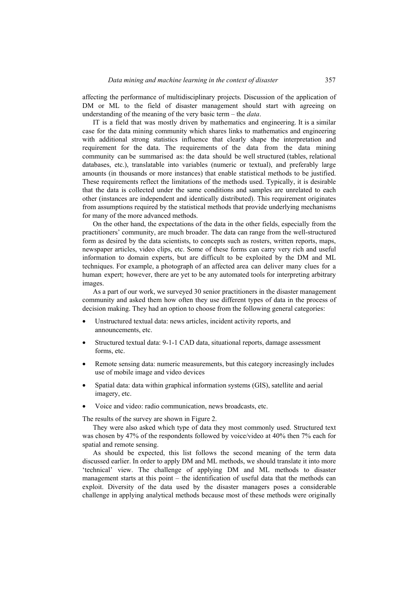affecting the performance of multidisciplinary projects. Discussion of the application of DM or ML to the field of disaster management should start with agreeing on understanding of the meaning of the very basic term – the *data*.

IT is a field that was mostly driven by mathematics and engineering. It is a similar case for the data mining community which shares links to mathematics and engineering with additional strong statistics influence that clearly shape the interpretation and requirement for the data. The requirements of the data from the data mining community can be summarised as: the data should be well structured (tables, relational databases, etc.), translatable into variables (numeric or textual), and preferably large amounts (in thousands or more instances) that enable statistical methods to be justified. These requirements reflect the limitations of the methods used. Typically, it is desirable that the data is collected under the same conditions and samples are unrelated to each other (instances are independent and identically distributed). This requirement originates from assumptions required by the statistical methods that provide underlying mechanisms for many of the more advanced methods.

On the other hand, the expectations of the data in the other fields, especially from the practitioners' community, are much broader. The data can range from the well-structured form as desired by the data scientists, to concepts such as rosters, written reports, maps, newspaper articles, video clips, etc. Some of these forms can carry very rich and useful information to domain experts, but are difficult to be exploited by the DM and ML techniques. For example, a photograph of an affected area can deliver many clues for a human expert; however, there are yet to be any automated tools for interpreting arbitrary images.

As a part of our work, we surveyed 30 senior practitioners in the disaster management community and asked them how often they use different types of data in the process of decision making. They had an option to choose from the following general categories:

- Unstructured textual data: news articles, incident activity reports, and announcements, etc.
- Structured textual data: 9-1-1 CAD data, situational reports, damage assessment forms, etc.
- Remote sensing data: numeric measurements, but this category increasingly includes use of mobile image and video devices
- Spatial data: data within graphical information systems (GIS), satellite and aerial imagery, etc.
- Voice and video: radio communication, news broadcasts, etc.

The results of the survey are shown in Figure 2.

They were also asked which type of data they most commonly used. Structured text was chosen by 47% of the respondents followed by voice/video at 40% then 7% each for spatial and remote sensing.

As should be expected, this list follows the second meaning of the term data discussed earlier. In order to apply DM and ML methods, we should translate it into more 'technical' view. The challenge of applying DM and ML methods to disaster management starts at this point – the identification of useful data that the methods can exploit. Diversity of the data used by the disaster managers poses a considerable challenge in applying analytical methods because most of these methods were originally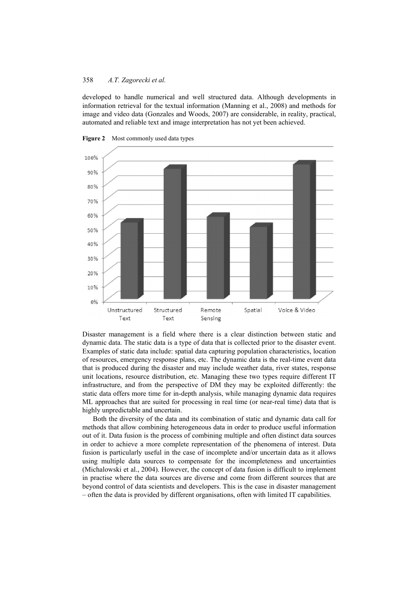developed to handle numerical and well structured data. Although developments in information retrieval for the textual information (Manning et al., 2008) and methods for image and video data (Gonzales and Woods, 2007) are considerable, in reality, practical, automated and reliable text and image interpretation has not yet been achieved.



**Figure 2** Most commonly used data types

Disaster management is a field where there is a clear distinction between static and dynamic data. The static data is a type of data that is collected prior to the disaster event. Examples of static data include: spatial data capturing population characteristics, location of resources, emergency response plans, etc. The dynamic data is the real-time event data that is produced during the disaster and may include weather data, river states, response unit locations, resource distribution, etc. Managing these two types require different IT infrastructure, and from the perspective of DM they may be exploited differently: the static data offers more time for in-depth analysis, while managing dynamic data requires ML approaches that are suited for processing in real time (or near-real time) data that is highly unpredictable and uncertain.

Both the diversity of the data and its combination of static and dynamic data call for methods that allow combining heterogeneous data in order to produce useful information out of it. Data fusion is the process of combining multiple and often distinct data sources in order to achieve a more complete representation of the phenomena of interest. Data fusion is particularly useful in the case of incomplete and/or uncertain data as it allows using multiple data sources to compensate for the incompleteness and uncertainties (Michalowski et al., 2004). However, the concept of data fusion is difficult to implement in practise where the data sources are diverse and come from different sources that are beyond control of data scientists and developers. This is the case in disaster management – often the data is provided by different organisations, often with limited IT capabilities.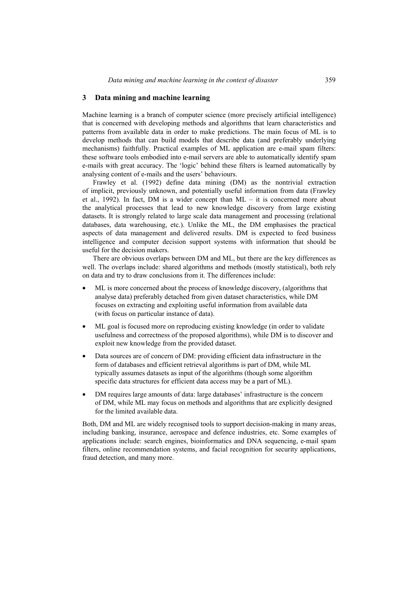## **3 Data mining and machine learning**

Machine learning is a branch of computer science (more precisely artificial intelligence) that is concerned with developing methods and algorithms that learn characteristics and patterns from available data in order to make predictions. The main focus of ML is to develop methods that can build models that describe data (and preferably underlying mechanisms) faithfully. Practical examples of ML application are e-mail spam filters: these software tools embodied into e-mail servers are able to automatically identify spam e-mails with great accuracy. The 'logic' behind these filters is learned automatically by analysing content of e-mails and the users' behaviours.

Frawley et al. (1992) define data mining (DM) as the nontrivial extraction of implicit, previously unknown, and potentially useful information from data (Frawley et al., 1992). In fact, DM is a wider concept than ML – it is concerned more about the analytical processes that lead to new knowledge discovery from large existing datasets. It is strongly related to large scale data management and processing (relational databases, data warehousing, etc.). Unlike the ML, the DM emphasises the practical aspects of data management and delivered results. DM is expected to feed business intelligence and computer decision support systems with information that should be useful for the decision makers.

There are obvious overlaps between DM and ML, but there are the key differences as well. The overlaps include: shared algorithms and methods (mostly statistical), both rely on data and try to draw conclusions from it. The differences include:

- ML is more concerned about the process of knowledge discovery, (algorithms that analyse data) preferably detached from given dataset characteristics, while DM focuses on extracting and exploiting useful information from available data (with focus on particular instance of data).
- ML goal is focused more on reproducing existing knowledge (in order to validate usefulness and correctness of the proposed algorithms), while DM is to discover and exploit new knowledge from the provided dataset.
- Data sources are of concern of DM: providing efficient data infrastructure in the form of databases and efficient retrieval algorithms is part of DM, while ML typically assumes datasets as input of the algorithms (though some algorithm specific data structures for efficient data access may be a part of ML).
- DM requires large amounts of data: large databases' infrastructure is the concern of DM, while ML may focus on methods and algorithms that are explicitly designed for the limited available data.

Both, DM and ML are widely recognised tools to support decision-making in many areas, including banking, insurance, aerospace and defence industries, etc. Some examples of applications include: search engines, bioinformatics and DNA sequencing, e-mail spam filters, online recommendation systems, and facial recognition for security applications, fraud detection, and many more.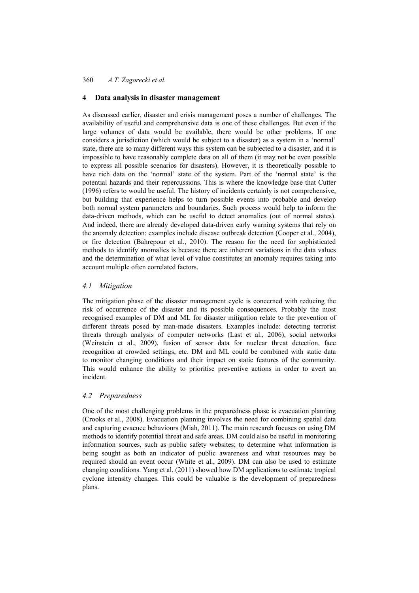## **4 Data analysis in disaster management**

As discussed earlier, disaster and crisis management poses a number of challenges. The availability of useful and comprehensive data is one of these challenges. But even if the large volumes of data would be available, there would be other problems. If one considers a jurisdiction (which would be subject to a disaster) as a system in a 'normal' state, there are so many different ways this system can be subjected to a disaster, and it is impossible to have reasonably complete data on all of them (it may not be even possible to express all possible scenarios for disasters). However, it is theoretically possible to have rich data on the 'normal' state of the system. Part of the 'normal state' is the potential hazards and their repercussions. This is where the knowledge base that Cutter (1996) refers to would be useful. The history of incidents certainly is not comprehensive, but building that experience helps to turn possible events into probable and develop both normal system parameters and boundaries. Such process would help to inform the data-driven methods, which can be useful to detect anomalies (out of normal states). And indeed, there are already developed data-driven early warning systems that rely on the anomaly detection: examples include disease outbreak detection (Cooper et al., 2004), or fire detection (Bahrepour et al., 2010). The reason for the need for sophisticated methods to identify anomalies is because there are inherent variations in the data values and the determination of what level of value constitutes an anomaly requires taking into account multiple often correlated factors.

## *4.1 Mitigation*

The mitigation phase of the disaster management cycle is concerned with reducing the risk of occurrence of the disaster and its possible consequences. Probably the most recognised examples of DM and ML for disaster mitigation relate to the prevention of different threats posed by man-made disasters. Examples include: detecting terrorist threats through analysis of computer networks (Last et al., 2006), social networks (Weinstein et al., 2009), fusion of sensor data for nuclear threat detection, face recognition at crowded settings, etc. DM and ML could be combined with static data to monitor changing conditions and their impact on static features of the community. This would enhance the ability to prioritise preventive actions in order to avert an incident.

## *4.2 Preparedness*

One of the most challenging problems in the preparedness phase is evacuation planning (Crooks et al., 2008). Evacuation planning involves the need for combining spatial data and capturing evacuee behaviours (Miah, 2011). The main research focuses on using DM methods to identify potential threat and safe areas. DM could also be useful in monitoring information sources, such as public safety websites; to determine what information is being sought as both an indicator of public awareness and what resources may be required should an event occur (White et al., 2009). DM can also be used to estimate changing conditions. Yang et al. (2011) showed how DM applications to estimate tropical cyclone intensity changes. This could be valuable is the development of preparedness plans.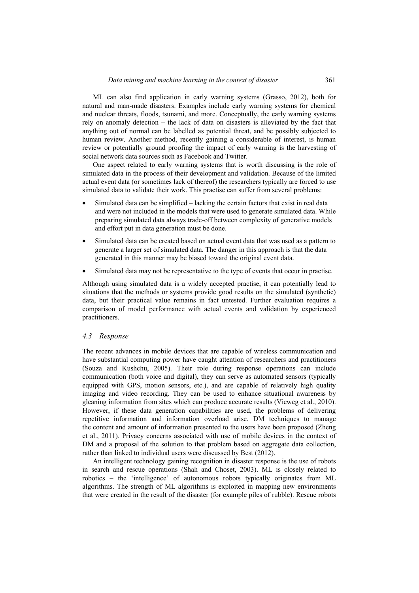ML can also find application in early warning systems (Grasso, 2012), both for natural and man-made disasters. Examples include early warning systems for chemical and nuclear threats, floods, tsunami, and more. Conceptually, the early warning systems rely on anomaly detection – the lack of data on disasters is alleviated by the fact that anything out of normal can be labelled as potential threat, and be possibly subjected to human review. Another method, recently gaining a considerable of interest, is human review or potentially ground proofing the impact of early warning is the harvesting of social network data sources such as Facebook and Twitter.

One aspect related to early warning systems that is worth discussing is the role of simulated data in the process of their development and validation. Because of the limited actual event data (or sometimes lack of thereof) the researchers typically are forced to use simulated data to validate their work. This practise can suffer from several problems:

- Simulated data can be simplified lacking the certain factors that exist in real data and were not included in the models that were used to generate simulated data. While preparing simulated data always trade-off between complexity of generative models and effort put in data generation must be done.
- Simulated data can be created based on actual event data that was used as a pattern to generate a larger set of simulated data. The danger in this approach is that the data generated in this manner may be biased toward the original event data.
- Simulated data may not be representative to the type of events that occur in practise.

Although using simulated data is a widely accepted practise, it can potentially lead to situations that the methods or systems provide good results on the simulated (synthetic) data, but their practical value remains in fact untested. Further evaluation requires a comparison of model performance with actual events and validation by experienced practitioners.

## *4.3 Response*

The recent advances in mobile devices that are capable of wireless communication and have substantial computing power have caught attention of researchers and practitioners (Souza and Kushchu, 2005). Their role during response operations can include communication (both voice and digital), they can serve as automated sensors (typically equipped with GPS, motion sensors, etc.), and are capable of relatively high quality imaging and video recording. They can be used to enhance situational awareness by gleaning information from sites which can produce accurate results (Vieweg et al., 2010). However, if these data generation capabilities are used, the problems of delivering repetitive information and information overload arise. DM techniques to manage the content and amount of information presented to the users have been proposed (Zheng et al., 2011). Privacy concerns associated with use of mobile devices in the context of DM and a proposal of the solution to that problem based on aggregate data collection, rather than linked to individual users were discussed by Best (2012).

An intelligent technology gaining recognition in disaster response is the use of robots in search and rescue operations (Shah and Choset, 2003). ML is closely related to robotics – the 'intelligence' of autonomous robots typically originates from ML algorithms. The strength of ML algorithms is exploited in mapping new environments that were created in the result of the disaster (for example piles of rubble). Rescue robots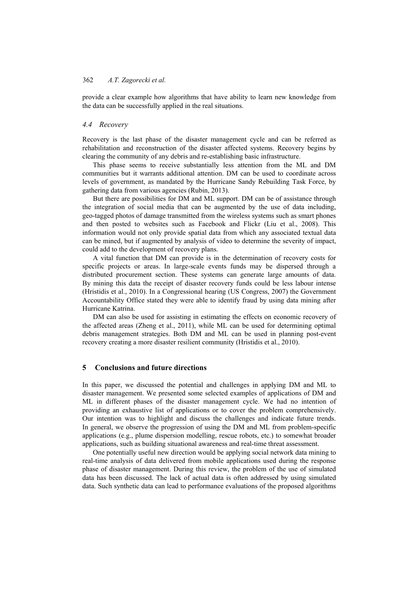provide a clear example how algorithms that have ability to learn new knowledge from the data can be successfully applied in the real situations.

#### *4.4 Recovery*

Recovery is the last phase of the disaster management cycle and can be referred as rehabilitation and reconstruction of the disaster affected systems. Recovery begins by clearing the community of any debris and re-establishing basic infrastructure.

This phase seems to receive substantially less attention from the ML and DM communities but it warrants additional attention. DM can be used to coordinate across levels of government, as mandated by the Hurricane Sandy Rebuilding Task Force, by gathering data from various agencies (Rubin, 2013).

But there are possibilities for DM and ML support. DM can be of assistance through the integration of social media that can be augmented by the use of data including, geo-tagged photos of damage transmitted from the wireless systems such as smart phones and then posted to websites such as Facebook and Flickr (Liu et al., 2008). This information would not only provide spatial data from which any associated textual data can be mined, but if augmented by analysis of video to determine the severity of impact, could add to the development of recovery plans.

A vital function that DM can provide is in the determination of recovery costs for specific projects or areas. In large-scale events funds may be dispersed through a distributed procurement section. These systems can generate large amounts of data. By mining this data the receipt of disaster recovery funds could be less labour intense (Hristidis et al., 2010). In a Congressional hearing (US Congress, 2007) the Government Accountability Office stated they were able to identify fraud by using data mining after Hurricane Katrina.

DM can also be used for assisting in estimating the effects on economic recovery of the affected areas (Zheng et al., 2011), while ML can be used for determining optimal debris management strategies. Both DM and ML can be used in planning post-event recovery creating a more disaster resilient community (Hristidis et al., 2010).

### **5 Conclusions and future directions**

In this paper, we discussed the potential and challenges in applying DM and ML to disaster management. We presented some selected examples of applications of DM and ML in different phases of the disaster management cycle. We had no intention of providing an exhaustive list of applications or to cover the problem comprehensively. Our intention was to highlight and discuss the challenges and indicate future trends. In general, we observe the progression of using the DM and ML from problem-specific applications (e.g., plume dispersion modelling, rescue robots, etc.) to somewhat broader applications, such as building situational awareness and real-time threat assessment.

One potentially useful new direction would be applying social network data mining to real-time analysis of data delivered from mobile applications used during the response phase of disaster management. During this review, the problem of the use of simulated data has been discussed. The lack of actual data is often addressed by using simulated data. Such synthetic data can lead to performance evaluations of the proposed algorithms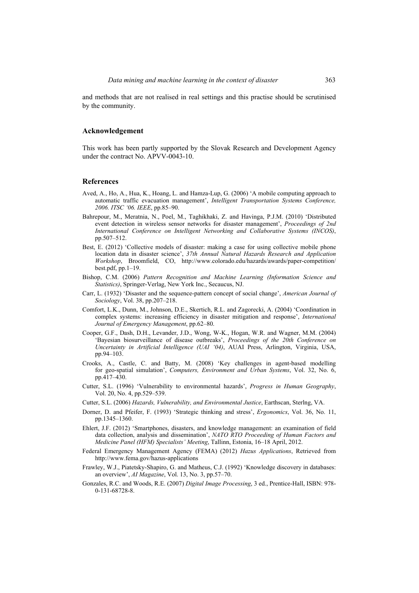and methods that are not realised in real settings and this practise should be scrutinised by the community.

### **Acknowledgement**

This work has been partly supported by the Slovak Research and Development Agency under the contract No. APVV-0043-10.

## **References**

- Aved, A., Ho, A., Hua, K., Hoang, L. and Hamza-Lup, G. (2006) 'A mobile computing approach to automatic traffic evacuation management', *Intelligent Transportation Systems Conference, 2006. ITSC '06. IEEE*, pp.85–90.
- Bahrepour, M., Meratnia, N., Poel, M., Taghikhaki, Z. and Havinga, P.J.M. (2010) 'Distributed event detection in wireless sensor networks for disaster management', *Proceedings of 2nd International Conference on Intelligent Networking and Collaborative Systems (INCOS)*, pp. 507–512.
- Best, E. (2012) 'Collective models of disaster: making a case for using collective mobile phone location data in disaster science', *37th Annual Natural Hazards Research and Application Workshop*, Broomfield, CO, http://www.colorado.edu/hazards/awards/paper-competition/ best.pdf, pp.1–19.
- Bishop, C.M. (2006) *Pattern Recognition and Machine Learning (Information Science and Statistics)*, Springer-Verlag, New York Inc., Secaucus, NJ.
- Carr, L. (1932) 'Disaster and the sequence-pattern concept of social change', *American Journal of Sociology*, Vol. 38, pp.207–218.
- Comfort, L.K., Dunn, M., Johnson, D.E., Skertich, R.L. and Zagorecki, A. (2004) 'Coordination in complex systems: increasing efficiency in disaster mitigation and response', *International Journal of Emergency Management*, pp.62–80.
- Cooper, G.F., Dash, D.H., Levander, J.D., Wong, W-K., Hogan, W.R. and Wagner, M.M. (2004) 'Bayesian biosurveillance of disease outbreaks', *Proceedings of the 20th Conference on Uncertainty in Artificial Intelligence (UAI '04)*, AUAI Press, Arlington, Virginia, USA, pp.94–103.
- Crooks, A., Castle, C. and Batty, M. (2008) 'Key challenges in agent-based modelling for geo-spatial simulation', *Computers, Environment and Urban Systems*, Vol. 32, No. 6, pp.417–430.
- Cutter, S.L. (1996) 'Vulnerability to environmental hazards', *Progress in Human Geography*, Vol. 20, No. 4, pp.529–539.
- Cutter, S.L. (2006) *Hazards, Vulnerability, and Environmental Justice*, Earthscan, Sterlng, VA.
- Dorner, D. and Pfeifer, F. (1993) 'Strategic thinking and stress', *Ergonomics*, Vol. 36, No. 11, pp.1345–1360.
- Ehlert, J.F. (2012) 'Smartphones, disasters, and knowledge management: an examination of field data collection, analysis and dissemination', *NATO RTO Proceeding of Human Factors and Medicine Panel (HFM) Specialists' Meeting*, Tallinn, Estonia, 16–18 April, 2012.
- Federal Emergency Management Agency (FEMA) (2012) *Hazus Applications*, Retrieved from http://www.fema.gov/hazus-applications
- Frawley, W.J., Piatetsky-Shapiro, G. and Matheus, C.J. (1992) 'Knowledge discovery in databases: an overview', *AI Magazine*, Vol. 13, No. 3, pp.57–70.
- Gonzales, R.C. and Woods, R.E. (2007) *Digital Image Processing*, 3 ed., Prentice-Hall, ISBN: 978- 0-131-68728-8.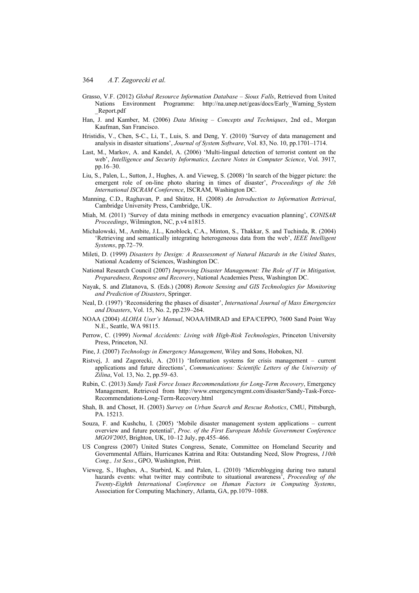- Grasso, V.F. (2012) *Global Resource Information Database Sioux Falls*, Retrieved from United Nations Environment Programme: http://na.unep.net/geas/docs/Early\_Warning\_System \_Report.pdf
- Han, J. and Kamber, M. (2006) *Data Mining Concepts and Techniques*, 2nd ed., Morgan Kaufman, San Francisco.
- Hristidis, V., Chen, S-C., Li, T., Luis, S. and Deng, Y. (2010) 'Survey of data management and analysis in disaster situations', *Journal of System Software*, Vol. 83, No. 10, pp.1701–1714.
- Last, M., Markov, A. and Kandel, A. (2006) 'Multi-lingual detection of terrorist content on the web', *Intelligence and Security Informatics, Lecture Notes in Computer Science*, Vol. 3917, pp.16–30.
- Liu, S., Palen, L., Sutton, J., Hughes, A. and Vieweg, S. (2008) 'In search of the bigger picture: the emergent role of on-line photo sharing in times of disaster', *Proceedings of the 5th International ISCRAM Conference*, ISCRAM, Washington DC.
- Manning, C.D., Raghavan, P. and Shütze, H. (2008) *An Introduction to Information Retrieval*, Cambridge University Press, Cambridge, UK.
- Miah, M. (2011) 'Survey of data mining methods in emergency evacuation planning', *CONISAR Proceedings*, Wilmington, NC, p.v4 n1815.
- Michalowski, M., Ambite, J.L., Knoblock, C.A., Minton, S., Thakkar, S. and Tuchinda, R. (2004) 'Retrieving and semantically integrating heterogeneous data from the web', *IEEE Intelligent Systems*, pp.72–79.
- Mileti, D. (1999) *Disasters by Design: A Reassessment of Natural Hazards in the United States*, National Academy of Sciences, Washington DC.
- National Research Council (2007) *Improving Disaster Management: The Role of IT in Mitigation, Preparedness, Response and Recovery*, National Academies Press, Washington DC.
- Nayak, S. and Zlatanova, S. (Eds.) (2008) *Remote Sensing and GIS Technologies for Monitoring and Prediction of Disasters*, Springer.
- Neal, D. (1997) 'Reconsidering the phases of disaster', *International Journal of Mass Emergencies and Disasters*, Vol. 15, No. 2, pp.239–264.
- NOAA (2004) *ALOHA User's Manual*, NOAA/HMRAD and EPA/CEPPO, 7600 Sand Point Way N.E., Seattle, WA 98115.
- Perrow, C. (1999) *Normal Accidents: Living with High-Risk Technologies*, Princeton University Press, Princeton, NJ.
- Pine, J. (2007) *Technology in Emergency Management*, Wiley and Sons, Hoboken, NJ.
- Ristvej, J. and Zagorecki, A. (2011) 'Information systems for crisis management current applications and future directions', *Communications: Scientific Letters of the University of Zilina*, Vol. 13, No. 2, pp.59–63.
- Rubin, C. (2013) *Sandy Task Force Issues Recommendations for Long-Term Recovery*, Emergency Management, Retrieved from http://www.emergencymgmt.com/disaster/Sandy-Task-Force-Recommendations-Long-Term-Recovery.html
- Shah, B. and Choset, H. (2003) *Survey on Urban Search and Rescue Robotics*, CMU, Pittsburgh, PA. 15213.
- Souza, F. and Kushchu, I. (2005) 'Mobile disaster management system applications current overview and future potential', *Proc. of the First European Mobile Government Conference MGOV2005*, Brighton, UK, 10–12 July, pp.455–466.
- US Congress (2007) United States Congress, Senate, Committee on Homeland Security and Governmental Affairs, Hurricanes Katrina and Rita: Outstanding Need, Slow Progress, *110th Cong., 1st Sess*., GPO, Washington, Print.
- Vieweg, S., Hughes, A., Starbird, K. and Palen, L. (2010) 'Microblogging during two natural hazards events: what twitter may contribute to situational awareness', *Proceeding of the Twenty-Eighth International Conference on Human Factors in Computing Systems*, Association for Computing Machinery, Atlanta, GA, pp.1079–1088.